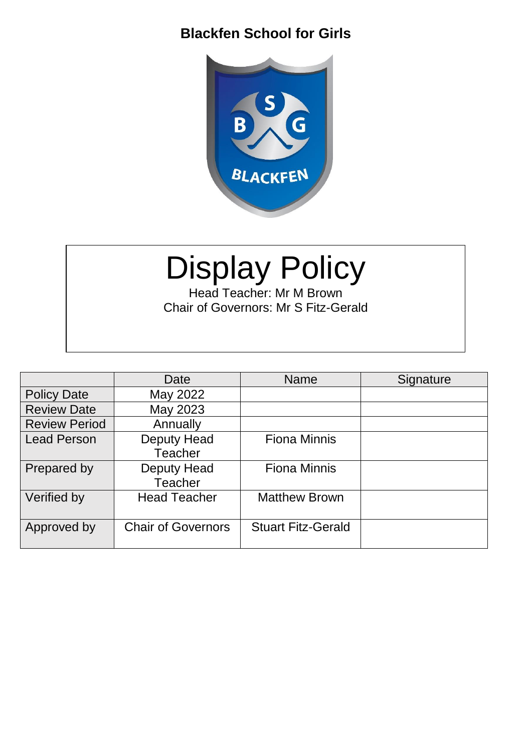### **Blackfen School for Girls**



# Display Policy

Head Teacher: Mr M Brown Chair of Governors: Mr S Fitz-Gerald

|                      | Date                                 | <b>Name</b>               | Signature |
|----------------------|--------------------------------------|---------------------------|-----------|
| <b>Policy Date</b>   | May 2022                             |                           |           |
| <b>Review Date</b>   | May 2023                             |                           |           |
| <b>Review Period</b> | Annually                             |                           |           |
| <b>Lead Person</b>   | <b>Deputy Head</b>                   | <b>Fiona Minnis</b>       |           |
|                      | <b>Teacher</b>                       |                           |           |
| Prepared by          | <b>Deputy Head</b><br><b>Teacher</b> | <b>Fiona Minnis</b>       |           |
| Verified by          | <b>Head Teacher</b>                  | <b>Matthew Brown</b>      |           |
| Approved by          | <b>Chair of Governors</b>            | <b>Stuart Fitz-Gerald</b> |           |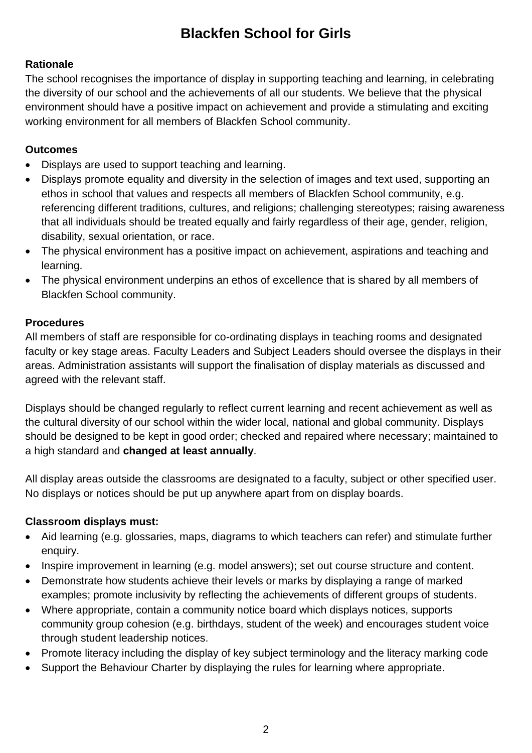## **Blackfen School for Girls**

#### **Rationale**

The school recognises the importance of display in supporting teaching and learning, in celebrating the diversity of our school and the achievements of all our students. We believe that the physical environment should have a positive impact on achievement and provide a stimulating and exciting working environment for all members of Blackfen School community.

#### **Outcomes**

- Displays are used to support teaching and learning.
- Displays promote equality and diversity in the selection of images and text used, supporting an ethos in school that values and respects all members of Blackfen School community, e.g. referencing different traditions, cultures, and religions; challenging stereotypes; raising awareness that all individuals should be treated equally and fairly regardless of their age, gender, religion, disability, sexual orientation, or race.
- The physical environment has a positive impact on achievement, aspirations and teaching and learning.
- The physical environment underpins an ethos of excellence that is shared by all members of Blackfen School community.

#### **Procedures**

All members of staff are responsible for co-ordinating displays in teaching rooms and designated faculty or key stage areas. Faculty Leaders and Subject Leaders should oversee the displays in their areas. Administration assistants will support the finalisation of display materials as discussed and agreed with the relevant staff.

Displays should be changed regularly to reflect current learning and recent achievement as well as the cultural diversity of our school within the wider local, national and global community. Displays should be designed to be kept in good order; checked and repaired where necessary; maintained to a high standard and **changed at least annually**.

All display areas outside the classrooms are designated to a faculty, subject or other specified user. No displays or notices should be put up anywhere apart from on display boards.

#### **Classroom displays must:**

- Aid learning (e.g. glossaries, maps, diagrams to which teachers can refer) and stimulate further enquiry.
- Inspire improvement in learning (e.g. model answers); set out course structure and content.
- Demonstrate how students achieve their levels or marks by displaying a range of marked examples; promote inclusivity by reflecting the achievements of different groups of students.
- Where appropriate, contain a community notice board which displays notices, supports community group cohesion (e.g. birthdays, student of the week) and encourages student voice through student leadership notices.
- Promote literacy including the display of key subject terminology and the literacy marking code
- Support the Behaviour Charter by displaying the rules for learning where appropriate.